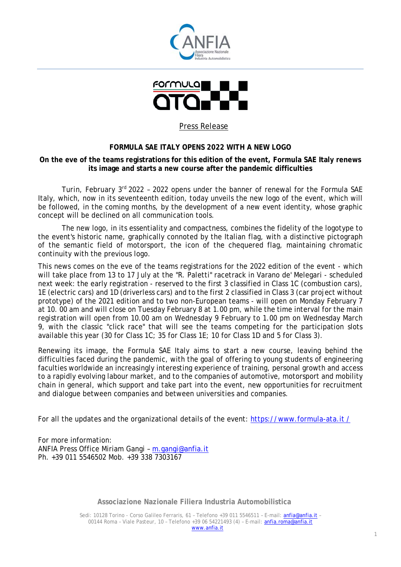



# Press Release

# **FORMULA SAE ITALY OPENS 2022 WITH A NEW LOGO**

## **On the eve of the teams registrations for this edition of the event, Formula SAE Italy renews its image and starts a new course after the pandemic difficulties**

*Turin, February 3rd 2022* – 2022 opens under the banner of renewal for the Formula SAE Italy, which, now in its seventeenth edition, today unveils the new logo of the event, which will be followed, in the coming months, by the development of a new event identity, whose graphic concept will be declined on all communication tools.

The new logo, in its essentiality and compactness, combines the fidelity of the logotype to the event's historic name, graphically connoted by the Italian flag, with a distinctive pictograph of the semantic field of motorsport, the icon of the chequered flag, maintaining chromatic continuity with the previous logo.

This news comes on the eve of the teams registrations for the 2022 edition of the event - which will take place from 13 to 17 July at the "R. Paletti" racetrack in Varano de' Melegari - scheduled next week: the early registration - reserved to the first 3 classified in Class 1C (combustion cars), 1E (electric cars) and 1D (driverless cars) and to the first 2 classified in Class 3 (car project without prototype) of the 2021 edition and to two non-European teams - will open on Monday February 7 at 10. 00 am and will close on Tuesday February 8 at 1.00 pm, while the time interval for the main registration will open from 10.00 am on Wednesday 9 February to 1.00 pm on Wednesday March 9, with the classic "click race" that will see the teams competing for the participation slots available this year (30 for Class 1C; 35 for Class 1E; 10 for Class 1D and 5 for Class 3).

Renewing its image, the Formula SAE Italy aims to start a new course, leaving behind the difficulties faced during the pandemic, with the goal of offering to young students of engineering faculties worldwide an increasingly interesting experience of training, personal growth and access to a rapidly evolving labour market, and to the companies of automotive, motorsport and mobility chain in general, which support and take part into the event, new opportunities for recruitment and dialogue between companies and between universities and companies.

For all the updates and the organizational details of the event: https://www.formula-ata.it /

For more information: ANFIA Press Office Miriam Gangi – [m.gangi@anfia.it](mailto:m.gangi@anfia.it) Ph. +39 011 5546502 Mob. +39 338 7303167

**Associazione Nazionale Filiera Industria Automobilistica**

Sedi: 10128 Torino - Corso Galileo Ferraris, 61 – Telefono +39 011 5546511 – E-mail: [anfia@anfia.it](mailto:anfia@anfia.it) – 00144 Roma – Viale Pasteur, 10 – Telefono +39 06 54221493 (4) – E-mail[: anfia.roma@anfia.it](mailto:anfia.roma@anfia.it) [www.anfia.it](http://www.anfia.it/)